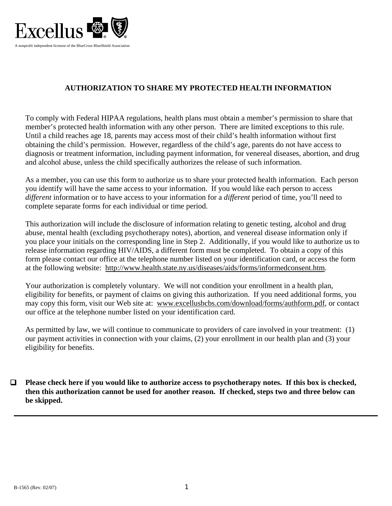

### **AUTHORIZATION TO SHARE MY PROTECTED HEALTH INFORMATION**

To comply with Federal HIPAA regulations, health plans must obtain a member's permission to share that member's protected health information with any other person. There are limited exceptions to this rule. Until a child reaches age 18, parents may access most of their child's health information without first obtaining the child's permission. However, regardless of the child's age, parents do not have access to diagnosis or treatment information, including payment information, for venereal diseases, abortion, and drug and alcohol abuse, unless the child specifically authorizes the release of such information.

As a member, you can use this form to authorize us to share your protected health information. Each person you identify will have the same access to your information. If you would like each person to access *different* information or to have access to your information for a *different* period of time, you'll need to complete separate forms for each individual or time period.

This authorization will include the disclosure of information relating to genetic testing, alcohol and drug abuse, mental health (excluding psychotherapy notes), abortion, and venereal disease information only if you place your initials on the corresponding line in Step 2. Additionally, if you would like to authorize us to release information regarding HIV/AIDS, a different form must be completed. To obtain a copy of this form please contact our office at the telephone number listed on your identification card, or access the form at the following website: http://www.health.state.ny.us/diseases/aids/forms/informedconsent.htm.

Your authorization is completely voluntary. We will not condition your enrollment in a health plan, eligibility for benefits, or payment of claims on giving this authorization. If you need additional forms, you may copy this form, visit our Web site at: www.excellusbcbs.com/download/forms/authform.pdf, or contact our office at the telephone number listed on your identification card.

As permitted by law, we will continue to communicate to providers of care involved in your treatment: (1) our payment activities in connection with your claims, (2) your enrollment in our health plan and (3) your eligibility for benefits.

 **Please check here if you would like to authorize access to psychotherapy notes. If this box is checked, then this authorization cannot be used for another reason. If checked, steps two and three below can be skipped.**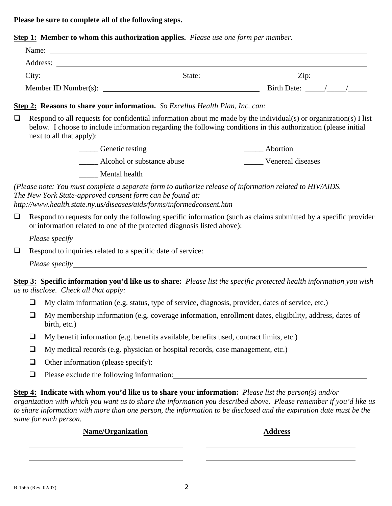**Please be sure to complete all of the following steps.**

**Step 1: Member to whom this authorization applies.** *Please use one form per member.*

| Name:                |        |             |
|----------------------|--------|-------------|
| Address:             |        |             |
| City:                | State: | Zip:        |
| Member ID Number(s): |        | Birth Date: |

### **Step 2: Reasons to share your information.** *So Excellus Health Plan, Inc. can:*

 $\Box$  Respond to all requests for confidential information about me made by the individual(s) or organization(s) I list below. I choose to include information regarding the following conditions in this authorization (please initial next to all that apply):

| Genetic testing            | Abortion          |
|----------------------------|-------------------|
| Alcohol or substance abuse | Venereal diseases |
| Mental health              |                   |

*(Please note: You must complete a separate form to authorize release of information related to HIV/AIDS. The New York State-approved consent form can be found at: http://www.health.state.ny.us/diseases/aids/forms/informedconsent.htm*

 $\Box$  Respond to requests for only the following specific information (such as claims submitted by a specific provider or information related to one of the protected diagnosis listed above):

*Please specify* 

 $\Box$  Respond to inquiries related to a specific date of service:

*Please specify* 

**Step 3: Specific information you'd like us to share:** *Please list the specific protected health information you wish us to disclose. Check all that apply:*

- $\Box$  My claim information (e.g. status, type of service, diagnosis, provider, dates of service, etc.)
- $\Box$  My membership information (e.g. coverage information, enrollment dates, eligibility, address, dates of birth, etc.)
- $\Box$  My benefit information (e.g. benefits available, benefits used, contract limits, etc.)
- $\Box$  My medical records (e.g. physician or hospital records, case management, etc.)
- $\Box$  Other information (please specify):
- $\Box$  Please exclude the following information:

**Step 4: Indicate with whom you'd like us to share your information:** *Please list the person(s) and/or*

*organization with which you want us to share the information you described above. Please remember if you'd like us to share information with more than one person, the information to be disclosed and the expiration date must be the same for each person.*

# **Name/Organization Address**

l  $\overline{a}$ 

 $\overline{a}$